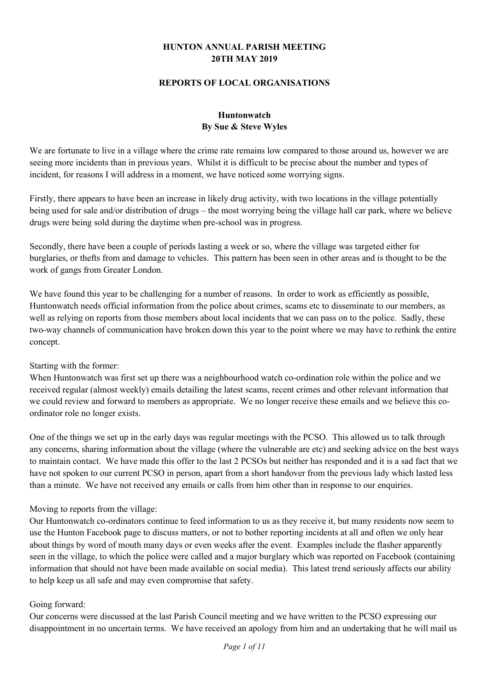### **HUNTON ANNUAL PARISH MEETING 20TH MAY 2019**

#### **REPORTS OF LOCAL ORGANISATIONS**

## **Huntonwatch By Sue & Steve Wyles**

We are fortunate to live in a village where the crime rate remains low compared to those around us, however we are seeing more incidents than in previous years. Whilst it is difficult to be precise about the number and types of incident, for reasons I will address in a moment, we have noticed some worrying signs.

Firstly, there appears to have been an increase in likely drug activity, with two locations in the village potentially being used for sale and/or distribution of drugs – the most worrying being the village hall car park, where we believe drugs were being sold during the daytime when pre-school was in progress.

Secondly, there have been a couple of periods lasting a week or so, where the village was targeted either for burglaries, or thefts from and damage to vehicles. This pattern has been seen in other areas and is thought to be the work of gangs from Greater London.

We have found this year to be challenging for a number of reasons. In order to work as efficiently as possible, Huntonwatch needs official information from the police about crimes, scams etc to disseminate to our members, as well as relying on reports from those members about local incidents that we can pass on to the police. Sadly, these two-way channels of communication have broken down this year to the point where we may have to rethink the entire concept.

#### Starting with the former:

When Huntonwatch was first set up there was a neighbourhood watch co-ordination role within the police and we received regular (almost weekly) emails detailing the latest scams, recent crimes and other relevant information that we could review and forward to members as appropriate. We no longer receive these emails and we believe this coordinator role no longer exists.

One of the things we set up in the early days was regular meetings with the PCSO. This allowed us to talk through any concerns, sharing information about the village (where the vulnerable are etc) and seeking advice on the best ways to maintain contact. We have made this offer to the last 2 PCSOs but neither has responded and it is a sad fact that we have not spoken to our current PCSO in person, apart from a short handover from the previous lady which lasted less than a minute. We have not received any emails or calls from him other than in response to our enquiries.

#### Moving to reports from the village:

Our Huntonwatch co-ordinators continue to feed information to us as they receive it, but many residents now seem to use the Hunton Facebook page to discuss matters, or not to bother reporting incidents at all and often we only hear about things by word of mouth many days or even weeks after the event. Examples include the flasher apparently seen in the village, to which the police were called and a major burglary which was reported on Facebook (containing information that should not have been made available on social media). This latest trend seriously affects our ability to help keep us all safe and may even compromise that safety.

#### Going forward:

Our concerns were discussed at the last Parish Council meeting and we have written to the PCSO expressing our disappointment in no uncertain terms. We have received an apology from him and an undertaking that he will mail us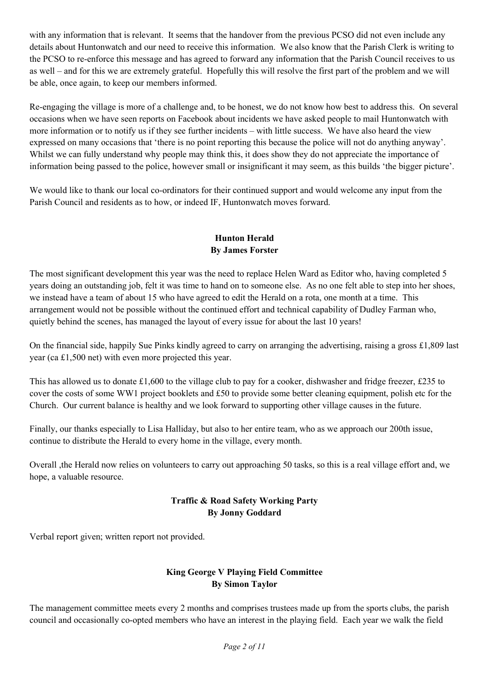with any information that is relevant. It seems that the handover from the previous PCSO did not even include any details about Huntonwatch and our need to receive this information. We also know that the Parish Clerk is writing to the PCSO to re-enforce this message and has agreed to forward any information that the Parish Council receives to us as well – and for this we are extremely grateful. Hopefully this will resolve the first part of the problem and we will be able, once again, to keep our members informed.

Re-engaging the village is more of a challenge and, to be honest, we do not know how best to address this. On several occasions when we have seen reports on Facebook about incidents we have asked people to mail Huntonwatch with more information or to notify us if they see further incidents – with little success. We have also heard the view expressed on many occasions that 'there is no point reporting this because the police will not do anything anyway'. Whilst we can fully understand why people may think this, it does show they do not appreciate the importance of information being passed to the police, however small or insignificant it may seem, as this builds 'the bigger picture'.

We would like to thank our local co-ordinators for their continued support and would welcome any input from the Parish Council and residents as to how, or indeed IF, Huntonwatch moves forward.

## **Hunton Herald By James Forster**

The most significant development this year was the need to replace Helen Ward as Editor who, having completed 5 years doing an outstanding job, felt it was time to hand on to someone else. As no one felt able to step into her shoes, we instead have a team of about 15 who have agreed to edit the Herald on a rota, one month at a time. This arrangement would not be possible without the continued effort and technical capability of Dudley Farman who, quietly behind the scenes, has managed the layout of every issue for about the last 10 years!

On the financial side, happily Sue Pinks kindly agreed to carry on arranging the advertising, raising a gross £1,809 last year (ca £1,500 net) with even more projected this year.

This has allowed us to donate £1,600 to the village club to pay for a cooker, dishwasher and fridge freezer, £235 to cover the costs of some WW1 project booklets and £50 to provide some better cleaning equipment, polish etc for the Church. Our current balance is healthy and we look forward to supporting other village causes in the future.

Finally, our thanks especially to Lisa Halliday, but also to her entire team, who as we approach our 200th issue, continue to distribute the Herald to every home in the village, every month.

Overall ,the Herald now relies on volunteers to carry out approaching 50 tasks, so this is a real village effort and, we hope, a valuable resource.

## **Traffic & Road Safety Working Party By Jonny Goddard**

Verbal report given; written report not provided.

## **King George V Playing Field Committee By Simon Taylor**

The management committee meets every 2 months and comprises trustees made up from the sports clubs, the parish council and occasionally co-opted members who have an interest in the playing field. Each year we walk the field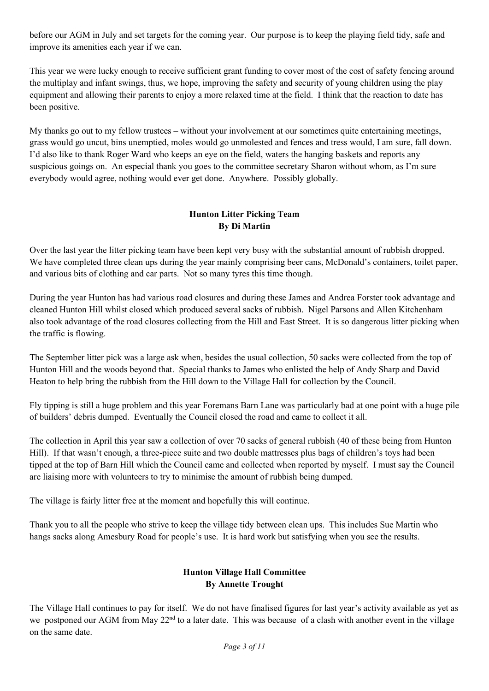before our AGM in July and set targets for the coming year. Our purpose is to keep the playing field tidy, safe and improve its amenities each year if we can.

This year we were lucky enough to receive sufficient grant funding to cover most of the cost of safety fencing around the multiplay and infant swings, thus, we hope, improving the safety and security of young children using the play equipment and allowing their parents to enjoy a more relaxed time at the field. I think that the reaction to date has been positive.

My thanks go out to my fellow trustees – without your involvement at our sometimes quite entertaining meetings, grass would go uncut, bins unemptied, moles would go unmolested and fences and tress would, I am sure, fall down. I'd also like to thank Roger Ward who keeps an eye on the field, waters the hanging baskets and reports any suspicious goings on. An especial thank you goes to the committee secretary Sharon without whom, as I'm sure everybody would agree, nothing would ever get done. Anywhere. Possibly globally.

## **Hunton Litter Picking Team By Di Martin**

Over the last year the litter picking team have been kept very busy with the substantial amount of rubbish dropped. We have completed three clean ups during the year mainly comprising beer cans, McDonald's containers, toilet paper, and various bits of clothing and car parts. Not so many tyres this time though.

During the year Hunton has had various road closures and during these James and Andrea Forster took advantage and cleaned Hunton Hill whilst closed which produced several sacks of rubbish. Nigel Parsons and Allen Kitchenham also took advantage of the road closures collecting from the Hill and East Street. It is so dangerous litter picking when the traffic is flowing.

The September litter pick was a large ask when, besides the usual collection, 50 sacks were collected from the top of Hunton Hill and the woods beyond that. Special thanks to James who enlisted the help of Andy Sharp and David Heaton to help bring the rubbish from the Hill down to the Village Hall for collection by the Council.

Fly tipping is still a huge problem and this year Foremans Barn Lane was particularly bad at one point with a huge pile of builders' debris dumped. Eventually the Council closed the road and came to collect it all.

The collection in April this year saw a collection of over 70 sacks of general rubbish (40 of these being from Hunton Hill). If that wasn't enough, a three-piece suite and two double mattresses plus bags of children's toys had been tipped at the top of Barn Hill which the Council came and collected when reported by myself. I must say the Council are liaising more with volunteers to try to minimise the amount of rubbish being dumped.

The village is fairly litter free at the moment and hopefully this will continue.

Thank you to all the people who strive to keep the village tidy between clean ups. This includes Sue Martin who hangs sacks along Amesbury Road for people's use. It is hard work but satisfying when you see the results.

#### **Hunton Village Hall Committee By Annette Trought**

The Village Hall continues to pay for itself. We do not have finalised figures for last year's activity available as yet as we postponed our AGM from May 22<sup>nd</sup> to a later date. This was because of a clash with another event in the village on the same date.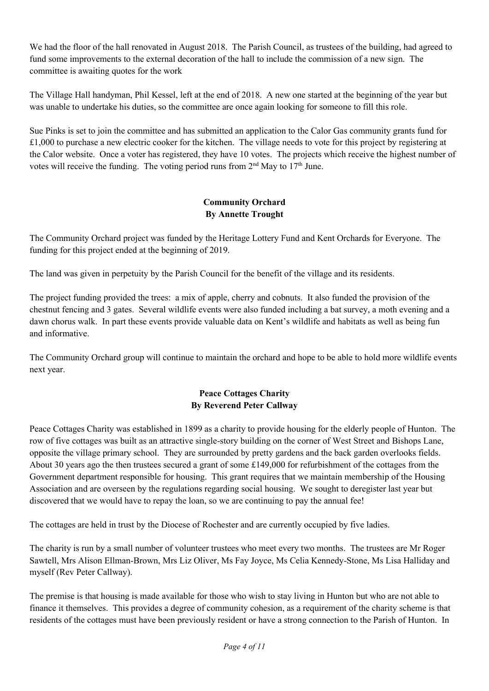We had the floor of the hall renovated in August 2018. The Parish Council, as trustees of the building, had agreed to fund some improvements to the external decoration of the hall to include the commission of a new sign. The committee is awaiting quotes for the work

The Village Hall handyman, Phil Kessel, left at the end of 2018. A new one started at the beginning of the year but was unable to undertake his duties, so the committee are once again looking for someone to fill this role.

Sue Pinks is set to join the committee and has submitted an application to the Calor Gas community grants fund for  $£1,000$  to purchase a new electric cooker for the kitchen. The village needs to vote for this project by registering at the Calor website. Once a voter has registered, they have 10 votes. The projects which receive the highest number of votes will receive the funding. The voting period runs from  $2<sup>nd</sup>$  May to  $17<sup>th</sup>$  June.

# **Community Orchard By Annette Trought**

The Community Orchard project was funded by the Heritage Lottery Fund and Kent Orchards for Everyone. The funding for this project ended at the beginning of 2019.

The land was given in perpetuity by the Parish Council for the benefit of the village and its residents.

The project funding provided the trees: a mix of apple, cherry and cobnuts. It also funded the provision of the chestnut fencing and 3 gates. Several wildlife events were also funded including a bat survey, a moth evening and a dawn chorus walk. In part these events provide valuable data on Kent's wildlife and habitats as well as being fun and informative.

The Community Orchard group will continue to maintain the orchard and hope to be able to hold more wildlife events next year.

## **Peace Cottages Charity By Reverend Peter Callway**

Peace Cottages Charity was established in 1899 as a charity to provide housing for the elderly people of Hunton. The row of five cottages was built as an attractive single-story building on the corner of West Street and Bishops Lane, opposite the village primary school. They are surrounded by pretty gardens and the back garden overlooks fields. About 30 years ago the then trustees secured a grant of some £149,000 for refurbishment of the cottages from the Government department responsible for housing. This grant requires that we maintain membership of the Housing Association and are overseen by the regulations regarding social housing. We sought to deregister last year but discovered that we would have to repay the loan, so we are continuing to pay the annual fee!

The cottages are held in trust by the Diocese of Rochester and are currently occupied by five ladies.

The charity is run by a small number of volunteer trustees who meet every two months. The trustees are Mr Roger Sawtell, Mrs Alison Ellman-Brown, Mrs Liz Oliver, Ms Fay Joyce, Ms Celia Kennedy-Stone, Ms Lisa Halliday and myself (Rev Peter Callway).

The premise is that housing is made available for those who wish to stay living in Hunton but who are not able to finance it themselves. This provides a degree of community cohesion, as a requirement of the charity scheme is that residents of the cottages must have been previously resident or have a strong connection to the Parish of Hunton. In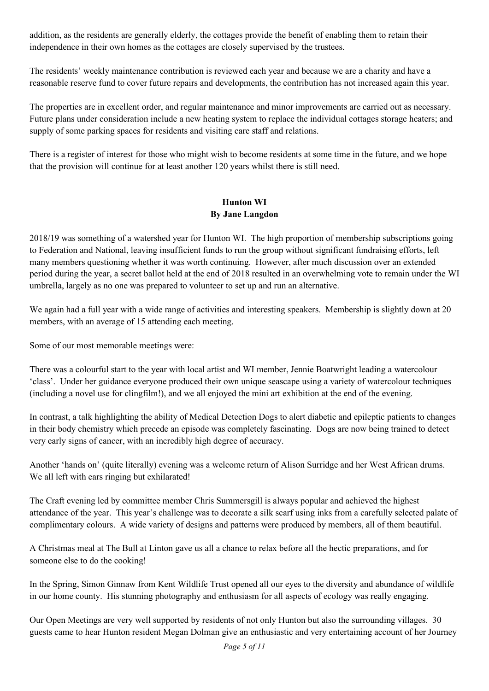addition, as the residents are generally elderly, the cottages provide the benefit of enabling them to retain their independence in their own homes as the cottages are closely supervised by the trustees.

The residents' weekly maintenance contribution is reviewed each year and because we are a charity and have a reasonable reserve fund to cover future repairs and developments, the contribution has not increased again this year.

The properties are in excellent order, and regular maintenance and minor improvements are carried out as necessary. Future plans under consideration include a new heating system to replace the individual cottages storage heaters; and supply of some parking spaces for residents and visiting care staff and relations.

There is a register of interest for those who might wish to become residents at some time in the future, and we hope that the provision will continue for at least another 120 years whilst there is still need.

## **Hunton WI By Jane Langdon**

2018/19 was something of a watershed year for Hunton WI. The high proportion of membership subscriptions going to Federation and National, leaving insufficient funds to run the group without significant fundraising efforts, left many members questioning whether it was worth continuing. However, after much discussion over an extended period during the year, a secret ballot held at the end of 2018 resulted in an overwhelming vote to remain under the WI umbrella, largely as no one was prepared to volunteer to set up and run an alternative.

We again had a full year with a wide range of activities and interesting speakers. Membership is slightly down at 20 members, with an average of 15 attending each meeting.

Some of our most memorable meetings were:

There was a colourful start to the year with local artist and WI member, Jennie Boatwright leading a watercolour 'class'. Under her guidance everyone produced their own unique seascape using a variety of watercolour techniques (including a novel use for clingfilm!), and we all enjoyed the mini art exhibition at the end of the evening.

In contrast, a talk highlighting the ability of Medical Detection Dogs to alert diabetic and epileptic patients to changes in their body chemistry which precede an episode was completely fascinating. Dogs are now being trained to detect very early signs of cancer, with an incredibly high degree of accuracy.

Another 'hands on' (quite literally) evening was a welcome return of Alison Surridge and her West African drums. We all left with ears ringing but exhilarated!

The Craft evening led by committee member Chris Summersgill is always popular and achieved the highest attendance of the year. This year's challenge was to decorate a silk scarf using inks from a carefully selected palate of complimentary colours. A wide variety of designs and patterns were produced by members, all of them beautiful.

A Christmas meal at The Bull at Linton gave us all a chance to relax before all the hectic preparations, and for someone else to do the cooking!

In the Spring, Simon Ginnaw from Kent Wildlife Trust opened all our eyes to the diversity and abundance of wildlife in our home county. His stunning photography and enthusiasm for all aspects of ecology was really engaging.

Our Open Meetings are very well supported by residents of not only Hunton but also the surrounding villages. 30 guests came to hear Hunton resident Megan Dolman give an enthusiastic and very entertaining account of her Journey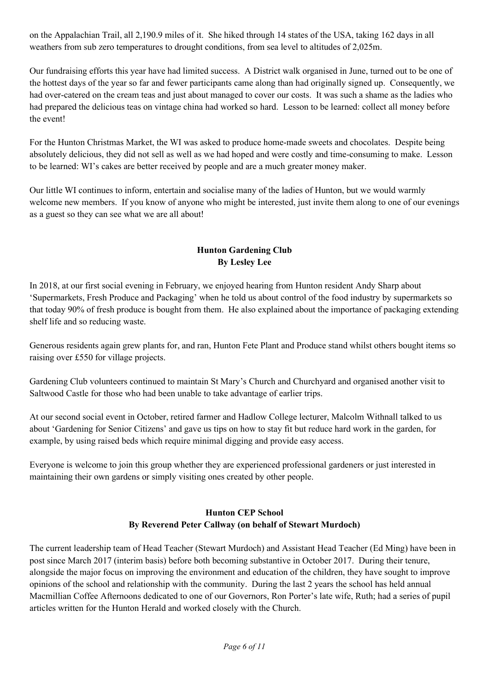on the Appalachian Trail, all 2,190.9 miles of it. She hiked through 14 states of the USA, taking 162 days in all weathers from sub zero temperatures to drought conditions, from sea level to altitudes of 2,025m.

Our fundraising efforts this year have had limited success. A District walk organised in June, turned out to be one of the hottest days of the year so far and fewer participants came along than had originally signed up. Consequently, we had over-catered on the cream teas and just about managed to cover our costs. It was such a shame as the ladies who had prepared the delicious teas on vintage china had worked so hard. Lesson to be learned: collect all money before the event!

For the Hunton Christmas Market, the WI was asked to produce home-made sweets and chocolates. Despite being absolutely delicious, they did not sell as well as we had hoped and were costly and time-consuming to make. Lesson to be learned: WI's cakes are better received by people and are a much greater money maker.

Our little WI continues to inform, entertain and socialise many of the ladies of Hunton, but we would warmly welcome new members. If you know of anyone who might be interested, just invite them along to one of our evenings as a guest so they can see what we are all about!

## **Hunton Gardening Club By Lesley Lee**

In 2018, at our first social evening in February, we enjoyed hearing from Hunton resident Andy Sharp about 'Supermarkets, Fresh Produce and Packaging' when he told us about control of the food industry by supermarkets so that today 90% of fresh produce is bought from them. He also explained about the importance of packaging extending shelf life and so reducing waste.

Generous residents again grew plants for, and ran, Hunton Fete Plant and Produce stand whilst others bought items so raising over £550 for village projects.

Gardening Club volunteers continued to maintain St Mary's Church and Churchyard and organised another visit to Saltwood Castle for those who had been unable to take advantage of earlier trips.

At our second social event in October, retired farmer and Hadlow College lecturer, Malcolm Withnall talked to us about 'Gardening for Senior Citizens' and gave us tips on how to stay fit but reduce hard work in the garden, for example, by using raised beds which require minimal digging and provide easy access.

Everyone is welcome to join this group whether they are experienced professional gardeners or just interested in maintaining their own gardens or simply visiting ones created by other people.

## **Hunton CEP School By Reverend Peter Callway (on behalf of Stewart Murdoch)**

The current leadership team of Head Teacher (Stewart Murdoch) and Assistant Head Teacher (Ed Ming) have been in post since March 2017 (interim basis) before both becoming substantive in October 2017. During their tenure, alongside the major focus on improving the environment and education of the children, they have sought to improve opinions of the school and relationship with the community. During the last 2 years the school has held annual Macmillian Coffee Afternoons dedicated to one of our Governors, Ron Porter's late wife, Ruth; had a series of pupil articles written for the Hunton Herald and worked closely with the Church.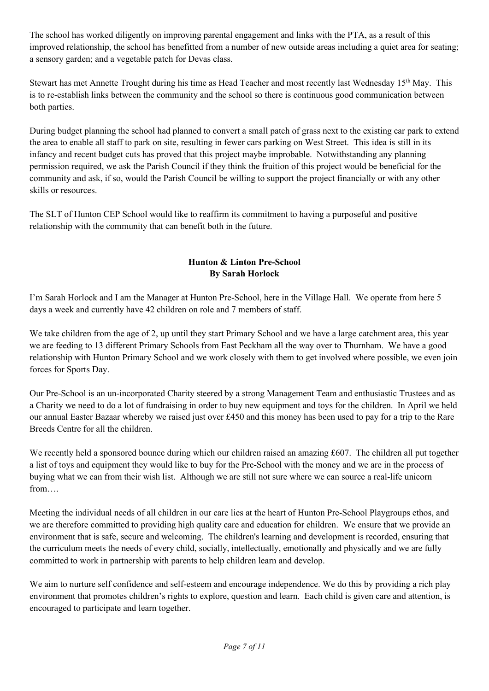The school has worked diligently on improving parental engagement and links with the PTA, as a result of this improved relationship, the school has benefitted from a number of new outside areas including a quiet area for seating; a sensory garden; and a vegetable patch for Devas class.

Stewart has met Annette Trought during his time as Head Teacher and most recently last Wednesday 15<sup>th</sup> May. This is to re-establish links between the community and the school so there is continuous good communication between both parties.

During budget planning the school had planned to convert a small patch of grass next to the existing car park to extend the area to enable all staff to park on site, resulting in fewer cars parking on West Street. This idea is still in its infancy and recent budget cuts has proved that this project maybe improbable. Notwithstanding any planning permission required, we ask the Parish Council if they think the fruition of this project would be beneficial for the community and ask, if so, would the Parish Council be willing to support the project financially or with any other skills or resources.

The SLT of Hunton CEP School would like to reaffirm its commitment to having a purposeful and positive relationship with the community that can benefit both in the future.

# **Hunton & Linton Pre-School By Sarah Horlock**

I'm Sarah Horlock and I am the Manager at Hunton Pre-School, here in the Village Hall. We operate from here 5 days a week and currently have 42 children on role and 7 members of staff.

We take children from the age of 2, up until they start Primary School and we have a large catchment area, this year we are feeding to 13 different Primary Schools from East Peckham all the way over to Thurnham. We have a good relationship with Hunton Primary School and we work closely with them to get involved where possible, we even join forces for Sports Day.

Our Pre-School is an un-incorporated Charity steered by a strong Management Team and enthusiastic Trustees and as a Charity we need to do a lot of fundraising in order to buy new equipment and toys for the children. In April we held our annual Easter Bazaar whereby we raised just over £450 and this money has been used to pay for a trip to the Rare Breeds Centre for all the children.

We recently held a sponsored bounce during which our children raised an amazing £607. The children all put together a list of toys and equipment they would like to buy for the Pre-School with the money and we are in the process of buying what we can from their wish list. Although we are still not sure where we can source a real-life unicorn from….

Meeting the individual needs of all children in our care lies at the heart of Hunton Pre-School Playgroups ethos, and we are therefore committed to providing high quality care and education for children. We ensure that we provide an environment that is safe, secure and welcoming. The children's learning and development is recorded, ensuring that the curriculum meets the needs of every child, socially, intellectually, emotionally and physically and we are fully committed to work in partnership with parents to help children learn and develop.

We aim to nurture self confidence and self-esteem and encourage independence. We do this by providing a rich play environment that promotes children's rights to explore, question and learn. Each child is given care and attention, is encouraged to participate and learn together.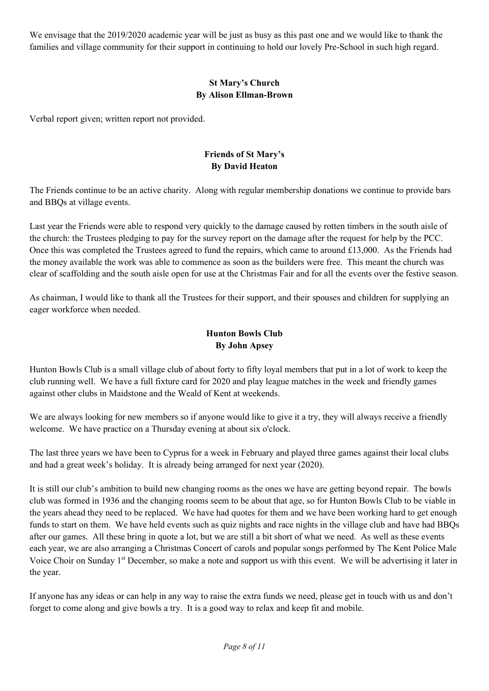We envisage that the 2019/2020 academic year will be just as busy as this past one and we would like to thank the families and village community for their support in continuing to hold our lovely Pre-School in such high regard.

# **St Mary's Church By Alison Ellman-Brown**

Verbal report given; written report not provided.

### **Friends of St Mary's By David Heaton**

The Friends continue to be an active charity. Along with regular membership donations we continue to provide bars and BBQs at village events.

Last year the Friends were able to respond very quickly to the damage caused by rotten timbers in the south aisle of the church: the Trustees pledging to pay for the survey report on the damage after the request for help by the PCC. Once this was completed the Trustees agreed to fund the repairs, which came to around  $\pounds13,000$ . As the Friends had the money available the work was able to commence as soon as the builders were free. This meant the church was clear of scaffolding and the south aisle open for use at the Christmas Fair and for all the events over the festive season.

As chairman, I would like to thank all the Trustees for their support, and their spouses and children for supplying an eager workforce when needed.

# **Hunton Bowls Club By John Apsey**

Hunton Bowls Club is a small village club of about forty to fifty loyal members that put in a lot of work to keep the club running well. We have a full fixture card for 2020 and play league matches in the week and friendly games against other clubs in Maidstone and the Weald of Kent at weekends.

We are always looking for new members so if anyone would like to give it a try, they will always receive a friendly welcome. We have practice on a Thursday evening at about six o'clock.

The last three years we have been to Cyprus for a week in February and played three games against their local clubs and had a great week's holiday. It is already being arranged for next year (2020).

It is still our club's ambition to build new changing rooms as the ones we have are getting beyond repair. The bowls club was formed in 1936 and the changing rooms seem to be about that age, so for Hunton Bowls Club to be viable in the years ahead they need to be replaced. We have had quotes for them and we have been working hard to get enough funds to start on them. We have held events such as quiz nights and race nights in the village club and have had BBQs after our games. All these bring in quote a lot, but we are still a bit short of what we need. As well as these events each year, we are also arranging a Christmas Concert of carols and popular songs performed by The Kent Police Male Voice Choir on Sunday 1<sup>st</sup> December, so make a note and support us with this event. We will be advertising it later in the year.

If anyone has any ideas or can help in any way to raise the extra funds we need, please get in touch with us and don't forget to come along and give bowls a try. It is a good way to relax and keep fit and mobile.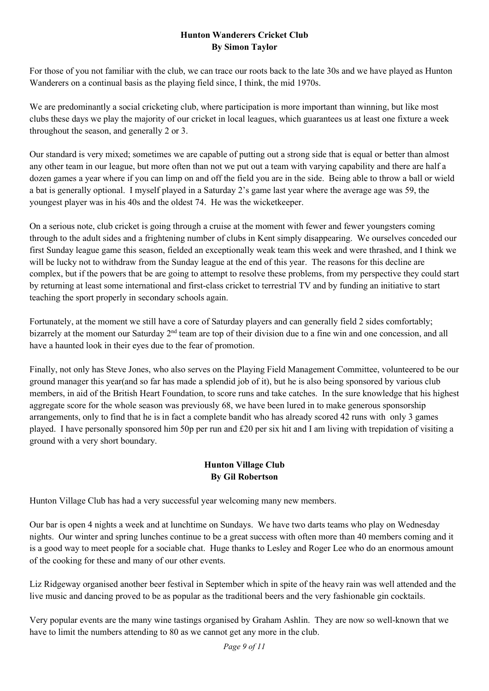### **Hunton Wanderers Cricket Club By Simon Taylor**

For those of you not familiar with the club, we can trace our roots back to the late 30s and we have played as Hunton Wanderers on a continual basis as the playing field since, I think, the mid 1970s.

We are predominantly a social cricketing club, where participation is more important than winning, but like most clubs these days we play the majority of our cricket in local leagues, which guarantees us at least one fixture a week throughout the season, and generally 2 or 3.

Our standard is very mixed; sometimes we are capable of putting out a strong side that is equal or better than almost any other team in our league, but more often than not we put out a team with varying capability and there are half a dozen games a year where if you can limp on and off the field you are in the side. Being able to throw a ball or wield a bat is generally optional. I myself played in a Saturday 2's game last year where the average age was 59, the youngest player was in his 40s and the oldest 74. He was the wicketkeeper.

On a serious note, club cricket is going through a cruise at the moment with fewer and fewer youngsters coming through to the adult sides and a frightening number of clubs in Kent simply disappearing. We ourselves conceded our first Sunday league game this season, fielded an exceptionally weak team this week and were thrashed, and I think we will be lucky not to withdraw from the Sunday league at the end of this year. The reasons for this decline are complex, but if the powers that be are going to attempt to resolve these problems, from my perspective they could start by returning at least some international and first-class cricket to terrestrial TV and by funding an initiative to start teaching the sport properly in secondary schools again.

Fortunately, at the moment we still have a core of Saturday players and can generally field 2 sides comfortably; bizarrely at the moment our Saturday 2<sup>nd</sup> team are top of their division due to a fine win and one concession, and all have a haunted look in their eyes due to the fear of promotion.

Finally, not only has Steve Jones, who also serves on the Playing Field Management Committee, volunteered to be our ground manager this year(and so far has made a splendid job of it), but he is also being sponsored by various club members, in aid of the British Heart Foundation, to score runs and take catches. In the sure knowledge that his highest aggregate score for the whole season was previously 68, we have been lured in to make generous sponsorship arrangements, only to find that he is in fact a complete bandit who has already scored 42 runs with only 3 games played. I have personally sponsored him 50p per run and £20 per six hit and I am living with trepidation of visiting a ground with a very short boundary.

# **Hunton Village Club By Gil Robertson**

Hunton Village Club has had a very successful year welcoming many new members.

Our bar is open 4 nights a week and at lunchtime on Sundays. We have two darts teams who play on Wednesday nights. Our winter and spring lunches continue to be a great success with often more than 40 members coming and it is a good way to meet people for a sociable chat. Huge thanks to Lesley and Roger Lee who do an enormous amount of the cooking for these and many of our other events.

Liz Ridgeway organised another beer festival in September which in spite of the heavy rain was well attended and the live music and dancing proved to be as popular as the traditional beers and the very fashionable gin cocktails.

Very popular events are the many wine tastings organised by Graham Ashlin. They are now so well-known that we have to limit the numbers attending to 80 as we cannot get any more in the club.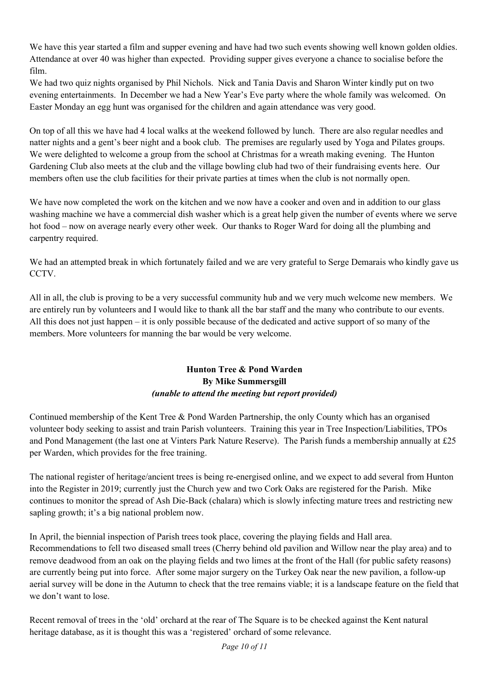We have this year started a film and supper evening and have had two such events showing well known golden oldies. Attendance at over 40 was higher than expected. Providing supper gives everyone a chance to socialise before the film.

We had two quiz nights organised by Phil Nichols. Nick and Tania Davis and Sharon Winter kindly put on two evening entertainments. In December we had a New Year's Eve party where the whole family was welcomed. On Easter Monday an egg hunt was organised for the children and again attendance was very good.

On top of all this we have had 4 local walks at the weekend followed by lunch. There are also regular needles and natter nights and a gent's beer night and a book club. The premises are regularly used by Yoga and Pilates groups. We were delighted to welcome a group from the school at Christmas for a wreath making evening. The Hunton Gardening Club also meets at the club and the village bowling club had two of their fundraising events here. Our members often use the club facilities for their private parties at times when the club is not normally open.

We have now completed the work on the kitchen and we now have a cooker and oven and in addition to our glass washing machine we have a commercial dish washer which is a great help given the number of events where we serve hot food – now on average nearly every other week. Our thanks to Roger Ward for doing all the plumbing and carpentry required.

We had an attempted break in which fortunately failed and we are very grateful to Serge Demarais who kindly gave us CCTV.

All in all, the club is proving to be a very successful community hub and we very much welcome new members. We are entirely run by volunteers and I would like to thank all the bar staff and the many who contribute to our events. All this does not just happen – it is only possible because of the dedicated and active support of so many of the members. More volunteers for manning the bar would be very welcome.

#### **Hunton Tree & Pond Warden By Mike Summersgill**  *(unable to attend the meeting but report provided)*

Continued membership of the Kent Tree & Pond Warden Partnership, the only County which has an organised volunteer body seeking to assist and train Parish volunteers. Training this year in Tree Inspection/Liabilities, TPOs and Pond Management (the last one at Vinters Park Nature Reserve). The Parish funds a membership annually at £25 per Warden, which provides for the free training.

The national register of heritage/ancient trees is being re-energised online, and we expect to add several from Hunton into the Register in 2019; currently just the Church yew and two Cork Oaks are registered for the Parish. Mike continues to monitor the spread of Ash Die-Back (chalara) which is slowly infecting mature trees and restricting new sapling growth; it's a big national problem now.

In April, the biennial inspection of Parish trees took place, covering the playing fields and Hall area. Recommendations to fell two diseased small trees (Cherry behind old pavilion and Willow near the play area) and to remove deadwood from an oak on the playing fields and two limes at the front of the Hall (for public safety reasons) are currently being put into force. After some major surgery on the Turkey Oak near the new pavilion, a follow-up aerial survey will be done in the Autumn to check that the tree remains viable; it is a landscape feature on the field that we don't want to lose.

Recent removal of trees in the 'old' orchard at the rear of The Square is to be checked against the Kent natural heritage database, as it is thought this was a 'registered' orchard of some relevance.

*Page 10 of 11*